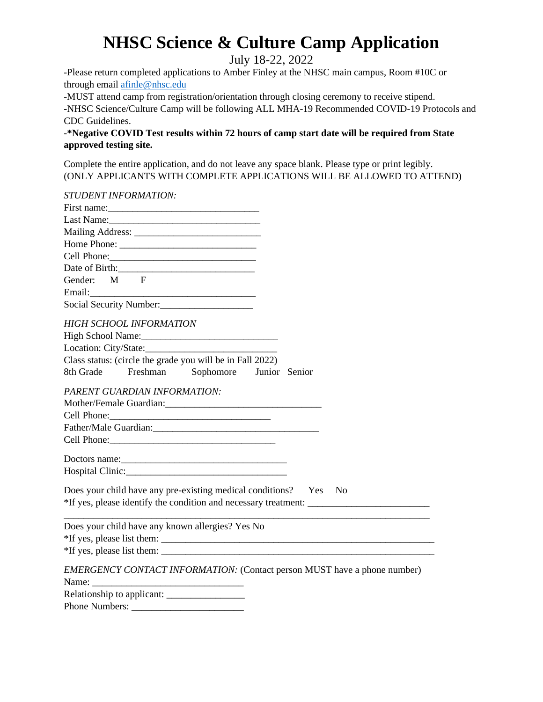July 18-22, 2022

-Please return completed applications to Amber Finley at the NHSC main campus, Room #10C or through email afinle@nhsc.edu

-MUST attend camp from registration/orientation through closing ceremony to receive stipend.

**-**NHSC Science/Culture Camp will be following ALL MHA-19 Recommended COVID-19 Protocols and CDC Guidelines.

**-\*Negative COVID Test results within 72 hours of camp start date will be required from State approved testing site.**

Complete the entire application, and do not leave any space blank. Please type or print legibly. (ONLY APPLICANTS WITH COMPLETE APPLICATIONS WILL BE ALLOWED TO ATTEND)

| <b>STUDENT INFORMATION:</b>                                                                                                                                                                                                    |                                                                          |
|--------------------------------------------------------------------------------------------------------------------------------------------------------------------------------------------------------------------------------|--------------------------------------------------------------------------|
| First name: $\frac{1}{2}$ First name:                                                                                                                                                                                          |                                                                          |
|                                                                                                                                                                                                                                |                                                                          |
|                                                                                                                                                                                                                                |                                                                          |
|                                                                                                                                                                                                                                |                                                                          |
|                                                                                                                                                                                                                                |                                                                          |
| Date of Birth:                                                                                                                                                                                                                 |                                                                          |
| Gender: M F                                                                                                                                                                                                                    |                                                                          |
|                                                                                                                                                                                                                                | EMERGENCY CONTACT INFORMATION: (Contact person MUST have a phone number) |
| Social Security Number:                                                                                                                                                                                                        |                                                                          |
| HIGH SCHOOL INFORMATION                                                                                                                                                                                                        |                                                                          |
|                                                                                                                                                                                                                                |                                                                          |
|                                                                                                                                                                                                                                |                                                                          |
| Class status: (circle the grade you will be in Fall 2022)                                                                                                                                                                      |                                                                          |
| 8th Grade Freshman Sophomore Junior Senior                                                                                                                                                                                     |                                                                          |
| PARENT GUARDIAN INFORMATION:                                                                                                                                                                                                   |                                                                          |
|                                                                                                                                                                                                                                |                                                                          |
|                                                                                                                                                                                                                                |                                                                          |
| Father/Male Guardian: Manual Accounts and Accounts and Accounts and Accounts and Accounts and Accounts and Accounts and Accounts and Accounts and Accounts and Accounts and Accounts and Accounts and Accounts and Accounts an |                                                                          |
|                                                                                                                                                                                                                                |                                                                          |
|                                                                                                                                                                                                                                |                                                                          |
|                                                                                                                                                                                                                                |                                                                          |
| Does your child have any pre-existing medical conditions? Yes No                                                                                                                                                               |                                                                          |
| Does your child have any known allergies? Yes No                                                                                                                                                                               |                                                                          |
|                                                                                                                                                                                                                                |                                                                          |
|                                                                                                                                                                                                                                |                                                                          |
|                                                                                                                                                                                                                                |                                                                          |
|                                                                                                                                                                                                                                |                                                                          |
|                                                                                                                                                                                                                                |                                                                          |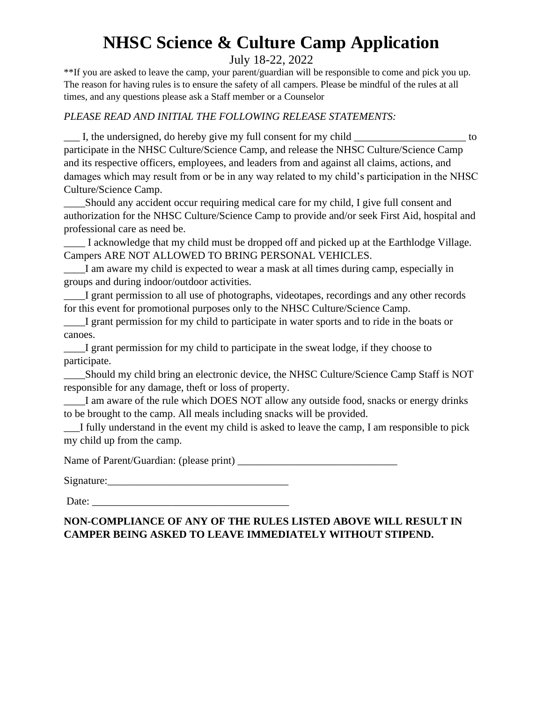### July 18-22, 2022

\*\*If you are asked to leave the camp, your parent/guardian will be responsible to come and pick you up. The reason for having rules is to ensure the safety of all campers. Please be mindful of the rules at all times, and any questions please ask a Staff member or a Counselor

### *PLEASE READ AND INITIAL THE FOLLOWING RELEASE STATEMENTS:*

I, the undersigned, do hereby give my full consent for my child \_\_\_\_\_\_\_\_\_\_\_\_\_\_\_\_\_ to participate in the NHSC Culture/Science Camp, and release the NHSC Culture/Science Camp and its respective officers, employees, and leaders from and against all claims, actions, and damages which may result from or be in any way related to my child's participation in the NHSC Culture/Science Camp.

\_\_\_\_Should any accident occur requiring medical care for my child, I give full consent and authorization for the NHSC Culture/Science Camp to provide and/or seek First Aid, hospital and professional care as need be.

\_\_\_\_ I acknowledge that my child must be dropped off and picked up at the Earthlodge Village. Campers ARE NOT ALLOWED TO BRING PERSONAL VEHICLES.

I am aware my child is expected to wear a mask at all times during camp, especially in groups and during indoor/outdoor activities.

\_\_\_\_I grant permission to all use of photographs, videotapes, recordings and any other records for this event for promotional purposes only to the NHSC Culture/Science Camp.

\_\_\_\_I grant permission for my child to participate in water sports and to ride in the boats or canoes.

\_\_\_\_I grant permission for my child to participate in the sweat lodge, if they choose to participate.

\_\_\_\_Should my child bring an electronic device, the NHSC Culture/Science Camp Staff is NOT responsible for any damage, theft or loss of property.

I am aware of the rule which DOES NOT allow any outside food, snacks or energy drinks to be brought to the camp. All meals including snacks will be provided.

I fully understand in the event my child is asked to leave the camp, I am responsible to pick my child up from the camp.

Name of Parent/Guardian: (please print) \_\_\_\_\_\_\_\_\_\_\_\_\_\_\_\_\_\_\_\_\_\_\_\_\_\_\_\_\_\_

Signature:

Date:

### **NON-COMPLIANCE OF ANY OF THE RULES LISTED ABOVE WILL RESULT IN CAMPER BEING ASKED TO LEAVE IMMEDIATELY WITHOUT STIPEND.**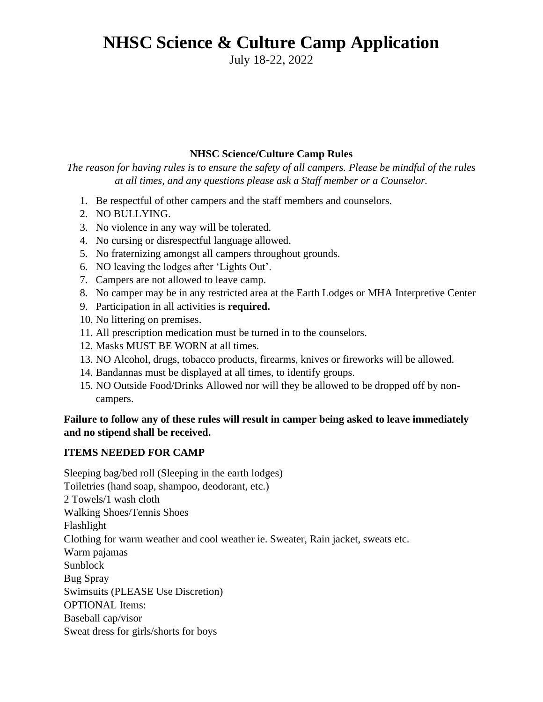July 18-22, 2022

### **NHSC Science/Culture Camp Rules**

*The reason for having rules is to ensure the safety of all campers. Please be mindful of the rules at all times, and any questions please ask a Staff member or a Counselor.*

- 1. Be respectful of other campers and the staff members and counselors.
- 2. NO BULLYING.
- 3. No violence in any way will be tolerated.
- 4. No cursing or disrespectful language allowed.
- 5. No fraternizing amongst all campers throughout grounds.
- 6. NO leaving the lodges after 'Lights Out'.
- 7. Campers are not allowed to leave camp.
- 8. No camper may be in any restricted area at the Earth Lodges or MHA Interpretive Center
- 9. Participation in all activities is **required.**
- 10. No littering on premises.
- 11. All prescription medication must be turned in to the counselors.
- 12. Masks MUST BE WORN at all times.
- 13. NO Alcohol, drugs, tobacco products, firearms, knives or fireworks will be allowed.
- 14. Bandannas must be displayed at all times, to identify groups.
- 15. NO Outside Food/Drinks Allowed nor will they be allowed to be dropped off by noncampers.

### **Failure to follow any of these rules will result in camper being asked to leave immediately and no stipend shall be received.**

### **ITEMS NEEDED FOR CAMP**

Sleeping bag/bed roll (Sleeping in the earth lodges) Toiletries (hand soap, shampoo, deodorant, etc.) 2 Towels/1 wash cloth Walking Shoes/Tennis Shoes Flashlight Clothing for warm weather and cool weather ie. Sweater, Rain jacket, sweats etc. Warm pajamas Sunblock Bug Spray Swimsuits (PLEASE Use Discretion) OPTIONAL Items: Baseball cap/visor Sweat dress for girls/shorts for boys